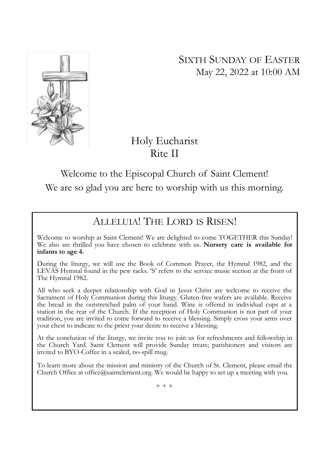SIXTH SUNDAY OF EASTER May 22, 2022 at 10:00 AM



# Holy Eucharist Rite II

Welcome to the Episcopal Church of Saint Clement! We are so glad you are here to worship with us this morning.

# ALLELUIA! THE LORD IS RISEN!

Welcome to worship at Saint Clement! We are delighted to come TOGETHER this Sunday! We also are thrilled you have chosen to celebrate with us. Nursery care is available for infants to age 4.

During the liturgy, we will use the Book of Common Prayer, the Hymnal 1982, and the LEVAS Hymnal found in the pew racks. 'S' refers to the service music section at the front of The Hymnal 1982.

All who seek a deeper relationship with God in Jesus Christ are welcome to receive the Sacrament of Holy Communion during this liturgy. Gluten-free wafers are available. Receive the bread in the outstretched palm of your hand. Wine is offered in individual cups at a station in the rear of the Church. If the reception of Holy Communion is not part of your tradition, you are invited to come forward to receive a blessing. Simply cross your arms over your chest to indicate to the priest your desire to receive a blessing.

At the conclusion of the liturgy, we invite you to join us for refreshments and fellowship in the Church Yard. Saint Clement will provide Sunday treats; parishioners and visitors are invited to BYO-Coffee in a sealed, no-spill mug.

To learn more about the mission and ministry of the Church of St. Clement, please email the Church Office at office@saintclement.org. We would be happy to set up a meeting with you.

 $+ + +$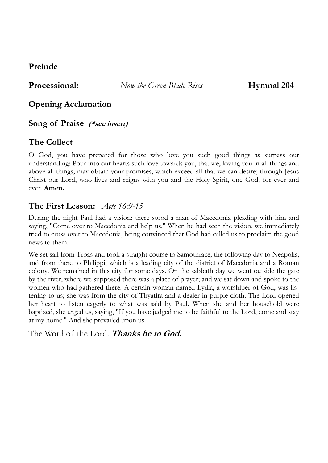# Prelude

**Processional:** Now the Green Blade Rises **Hymnal 204** 

Opening Acclamation

# Song of Praise (\*see insert)

# The Collect

O God, you have prepared for those who love you such good things as surpass our understanding: Pour into our hearts such love towards you, that we, loving you in all things and above all things, may obtain your promises, which exceed all that we can desire; through Jesus Christ our Lord, who lives and reigns with you and the Holy Spirit, one God, for ever and ever. Amen.

# The First Lesson:  $\text{Atts } 16:9-15$

During the night Paul had a vision: there stood a man of Macedonia pleading with him and saying, "Come over to Macedonia and help us." When he had seen the vision, we immediately tried to cross over to Macedonia, being convinced that God had called us to proclaim the good news to them.

We set sail from Troas and took a straight course to Samothrace, the following day to Neapolis, and from there to Philippi, which is a leading city of the district of Macedonia and a Roman colony. We remained in this city for some days. On the sabbath day we went outside the gate by the river, where we supposed there was a place of prayer; and we sat down and spoke to the women who had gathered there. A certain woman named Lydia, a worshiper of God, was listening to us; she was from the city of Thyatira and a dealer in purple cloth. The Lord opened her heart to listen eagerly to what was said by Paul. When she and her household were baptized, she urged us, saying, "If you have judged me to be faithful to the Lord, come and stay at my home." And she prevailed upon us.

The Word of the Lord. Thanks be to God.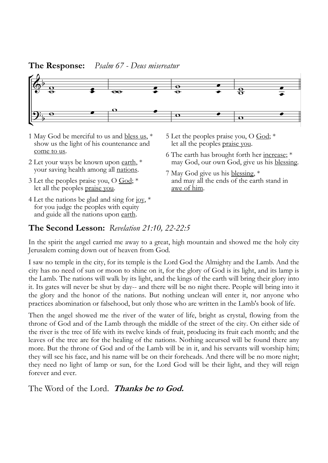## **The Response:** Psalm 67 - Deus misereatur



- 1 May God be merciful to us and bless us,  $*$  show us the light of his countenance and come to us.
- 2 Let your ways be known upon earth,  $*$ your saving health among all nations.
- 3 Let the peoples praise you, O God; \* let all the peoples <u>praise you</u>.
- 4 Let the nations be glad and sing for joy,  $*$  for you judge the peoples with equity and guide all the nations upon earth.
- 5 Let the peoples praise you, O God; \* let all the peoples praise you.
- 6 The earth has brought forth her increase; \* may God, our own God, give us his blessing.
- 7 May God give us his blessing, \* and may all the ends of the earth stand in awe of him.

## The Second Lesson: Revelation 21:10, 22-22:5

In the spirit the angel carried me away to a great, high mountain and showed me the holy city Jerusalem coming down out of heaven from God.

I saw no temple in the city, for its temple is the Lord God the Almighty and the Lamb. And the city has no need of sun or moon to shine on it, for the glory of God is its light, and its lamp is the Lamb. The nations will walk by its light, and the kings of the earth will bring their glory into it. Its gates will never be shut by day-- and there will be no night there. People will bring into it the glory and the honor of the nations. But nothing unclean will enter it, nor anyone who practices abomination or falsehood, but only those who are written in the Lamb's book of life.

Then the angel showed me the river of the water of life, bright as crystal, flowing from the throne of God and of the Lamb through the middle of the street of the city. On either side of the river is the tree of life with its twelve kinds of fruit, producing its fruit each month; and the leaves of the tree are for the healing of the nations. Nothing accursed will be found there any more. But the throne of God and of the Lamb will be in it, and his servants will worship him; they will see his face, and his name will be on their foreheads. And there will be no more night; they need no light of lamp or sun, for the Lord God will be their light, and they will reign forever and ever.

The Word of the Lord. Thanks be to God.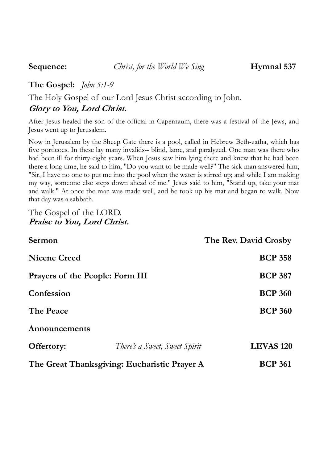## The Gospel: *John 5:1-9*

The Holy Gospel of our Lord Jesus Christ according to John.

# Glory to You, Lord Christ.

After Jesus healed the son of the official in Capernaum, there was a festival of the Jews, and Jesus went up to Jerusalem.

Now in Jerusalem by the Sheep Gate there is a pool, called in Hebrew Beth-zatha, which has five porticoes. In these lay many invalids-- blind, lame, and paralyzed. One man was there who had been ill for thirty-eight years. When Jesus saw him lying there and knew that he had been there a long time, he said to him, "Do you want to be made well?" The sick man answered him, "Sir, I have no one to put me into the pool when the water is stirred up; and while I am making my way, someone else steps down ahead of me." Jesus said to him, "Stand up, take your mat and walk." At once the man was made well, and he took up his mat and began to walk. Now that day was a sabbath.

#### The Gospel of the LORD. Praise to You, Lord Christ.

| Sermon                                       |                               | The Rev. David Crosby |
|----------------------------------------------|-------------------------------|-----------------------|
| <b>Nicene Creed</b>                          |                               | <b>BCP 358</b>        |
| Prayers of the People: Form III              |                               | <b>BCP 387</b>        |
| Confession                                   |                               | <b>BCP 360</b>        |
| The Peace                                    |                               | <b>BCP 360</b>        |
| Announcements                                |                               |                       |
| Offertory:                                   | There's a Sweet, Sweet Spirit | <b>LEVAS 120</b>      |
| The Great Thanksgiving: Eucharistic Prayer A |                               | <b>BCP 361</b>        |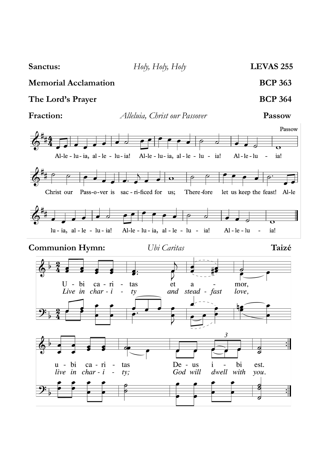Sanctus: Holy, Holy, Holy Holy LEVAS 255 Memorial Acclamation BCP 363 The Lord's Prayer BCP 364 Fraction: Alleluia, Christ our Passover Passow Passow  $\overline{\mathbf{r}}$ Al-le - lu - ia, al - le - lu - ia! Al-le - lu - ia, al - le - lu - ia! Al-le-lu ia!  $\overline{a}$  $\overline{\mathbf{o}}$ Christ our Pass-o-ver is sac-ri-ficed for us; There-fore let us keep the feast! Al-le  $lu - ia$ ,  $al - le - lu - ia!$ Al-le - lu - ia, al - le - lu - ia!  $Al - le - lu$ ia! Communion Hymn: Ubi Caritas Taizé  $U - bi$ ca - ri  $\mathbb{Z}^2$ tas  $_{\rm et}$ mor, a and stead - fast Live in char - i love,  $\overline{\phantom{a}}$ ty 3  $\div$  $\frac{\partial}{\partial}$  $\mathbb{Z}^2$  $u - bi$ De - us ca - ri tas i bi est. God will dwell with live in  $char - i$  $\overline{a}$  $ty;$ you.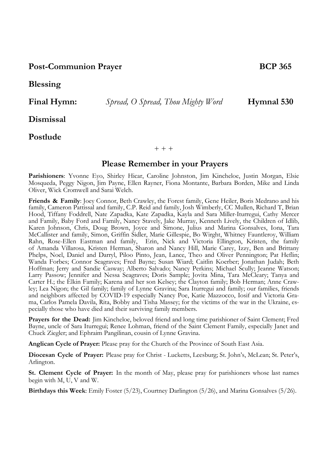#### Post-Communion Prayer BCP 365

Blessing

Dismissal

#### Postlude

#### $+ + +$

#### Please Remember in your Prayers

Parishioners: Yvonne Eyo, Shirley Hicar, Caroline Johnston, Jim Kincheloe, Justin Morgan, Elsie Mosqueda, Peggy Nigon, Jim Payne, Ellen Rayner, Fiona Montante, Barbara Borden, Mike and Linda Oliver, Wick Cromwell and Sarai Welch.

Friends & Family: Joey Connor, Beth Crawley, the Forest family, Gene Heiler, Boris Medrano and his family, Cameron Pattissal and family, C.P. Reid and family, Josh Wimberly, CC Mullen, Richard T, Brian Hood, Tiffany Foddrell, Nate Zapadka, Kate Zapadka, Kayla and Sara Miller-Iturregui, Cathy Mercer and Family, Baby Ford and Family, Nancy Stavely, Jake Murray, Kenneth Lively, the Children of Idlib, Karen Johnson, Chris, Doug Brown, Joyce and Simone, Julius and Marina Gonsalves, Iona, Tara McCallister and family, Simon, Griffin Sidler, Marie Gillespie, Bo Wirght, Whitney Fauntleroy, William Rahn, Rose-Ellen Eastman and family, Erin, Nick and Victoria Ellington, Kristen, the family of Amanda Villarosa, Kristen Herman, Sharon and Nancy Hill, Marie Carey, Izzy, Ben and Brittany Phelps, Noel, Daniel and Darryl, Piloo Pinto, Jean, Lance, Theo and Oliver Pennington; Pat Heflin; Wanda Forbes; Connor Seagraves; Fred Bayne; Susan Wiard; Caitlin Koerber; Jonathan Judah; Beth Hoffman; Jerry and Sandie Casway; Alberto Salvado; Nancy Perkins; Michael Scully; Jeanne Watson; Larry Passow; Jennifer and Nessa Seagraves; Doris Sample; Jovita Mina, Tara McCleary; Tanya and Carter H.; the Elkin Family; Karena and her son Kelsey; the Clayton family; Bob Herman; Anne Crawley; Lea Nigon; the Gil family; family of Lynne Gravina; Sara Iturregui and family; our families, friends and neighbors affected by COVID-19 especially Nancy Poe, Katie Mazzocco, Iosif and Victoria Grama, Carlos Pamela Davila, Rita, Bobby and Tisha Massey; for the victims of the war in the Ukraine, especially those who have died and their surviving family members.

Prayers for the Dead: Jim Kincheloe, beloved friend and long time parishioner of Saint Clement; Fred Bayne, uncle of Sara Iturregui; Renee Lohman, friend of the Saint Clement Family, especially Janet and Chuck Ziegler; and Ephraim Pangilinan, cousin of Lynne Gravina.

Anglican Cycle of Prayer: Please pray for the Church of the Province of South East Asia.

Diocesan Cycle of Prayer: Please pray for Christ - Lucketts, Leesburg; St. John's, McLean; St. Peter's, Arlington.

St. Clement Cycle of Prayer: In the month of May, please pray for parishioners whose last names begin with M, U, V and W.

Birthdays this Week: Emily Foster (5/23), Courtney Darlington (5/26), and Marina Gonsalves (5/26).

Final Hymn: Spread, O Spread, Thou Mighty Word Hymnal 530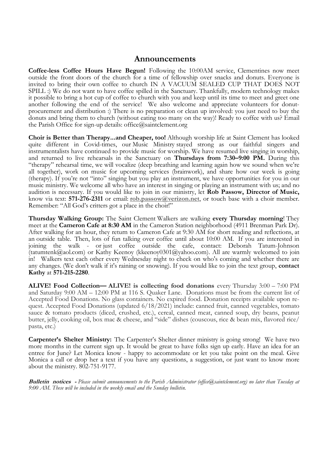#### Announcements

Coffee-less Coffee Hours Have Begun! Following the 10:00AM service, Clementines now meet outside the front doors of the church for a time of fellowship over snacks and donuts. Everyone is invited to bring their own coffee to church IN A VACUUM SEALED CUP THAT DOES NOT SPILL :) We do not want to have coffee spilled in the Sanctuary. Thankfully, modern technology makes it possible to bring a hot cup of coffee to church with you and keep until its time to meet and greet one another following the end of the service! We also welcome and appreciate volunteers for donutprocurement and distribution :) There is no preparation or clean up involved: you just need to buy the donuts and bring them to church (without eating too many on the way)! Ready to coffee with us? Email the Parish Office for sign-up details: office@saintclement.org

Choir is Better than Therapy...and Cheaper, too! Although worship life at Saint Clement has looked quite different in Covid-times, our Music Ministry stayed strong as our faithful singers and instrumentalists have continued to provide music for worship. We have resumed live singing in worship, and returned to live rehearsals in the Sanctuary on Thursdays from 7:30-9:00 PM. During this "therapy" rehearsal time, we will vocalize (deep breathing and learning again how we sound when we're all together), work on music for upcoming services (brainwork), and share how our week is going (therapy). If you're not "into" singing but you play an instrument, we have opportunities for you in our music ministry. We welcome all who have an interest in singing or playing an instrument with us; and no audition is necessary. If you would like to join in our ministry, let Rob Passow, Director of Music, know via text: 571-276-2311 or email: rob.passow@verizon.net, or touch base with a choir member. Remember: "All God's critters got a place in the choir!"

Thursday Walking Group: The Saint Clement Walkers are walking every Thursday morning! They meet at the Cameron Cafe at 8:30 AM in the Cameron Station neighborhood (4911 Brenman Park Dr). After walking for an hour, they return to Cameron Cafe at 9:30 AM for short reading and reflections, at an outside table. Then, lots of fun talking over coffee until about 10:00 AM. If you are interested in joining the walk - or just coffee outside the cafe, contact: Deborah Tatum-Johnson (tatumtenk@aol.com) or Kathy Keenoy (kkeenoy0301@yahoo.com). All are warmly welcomed to join in! Walkers text each other every Wednesday night to check on who's coming and whether there are any changes. (We don't walk if it's raining or snowing). If you would like to join the text group, **contact** Kathy at 571-215-2280.

ALIVE! Food Collection— ALIVE! is collecting food donations every Thursday 3:00 – 7:00 PM and Saturday 9:00 AM – 12:00 PM at 116 S. Quaker Lane. Donations must be from the current list of Accepted Food Donations. No glass containers. No expired food. Donation receipts available upon request. Accepted Food Donations (updated 6/18/2021) include: canned fruit, canned vegetables, tomato sauce & tomato products (diced, crushed, etc.), cereal, canned meat, canned soup, dry beans, peanut butter, jelly, cooking oil, box mac & cheese, and "side" dishes (couscous, rice & bean mix, flavored rice/ pasta, etc.)

Carpenter's Shelter Ministry: The Carpenter's Shelter dinner ministry is going strong! We have two more months in the current sign up. It would be great to have folks sign up early. Have an idea for an entree for June? Let Monica know - happy to accommodate or let you take point on the meal. Give Monica a call or drop her a text if you have any questions, a suggestion, or just want to know more about the ministry. 802-751-9177.

Bulletin notices - Please submit announcements to the Parish Administrator (office@saintclement.org) no later than Tuesday at 9:00 AM. These will be included in the weekly email and the Sunday bulletin.